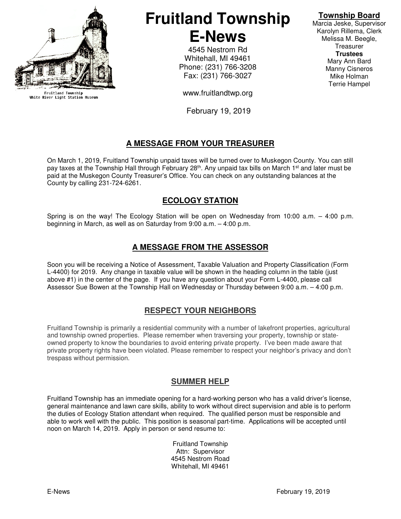

Fruitland Township<br>White River Light Station Museum

# **Fruitland Township E-News**

4545 Nestrom Rd Whitehall, MI 49461 Phone: (231) 766-3208 Fax: (231) 766-3027

www.fruitlandtwp.org

February 19, 2019

## **A MESSAGE FROM YOUR TREASURER**

On March 1, 2019, Fruitland Township unpaid taxes will be turned over to Muskegon County. You can still pay taxes at the Township Hall through February 28<sup>th</sup>. Any unpaid tax bills on March 1<sup>st</sup> and later must be paid at the Muskegon County Treasurer's Office. You can check on any outstanding balances at the County by calling 231-724-6261.

#### **ECOLOGY STATION**

Spring is on the way! The Ecology Station will be open on Wednesday from 10:00 a.m. – 4:00 p.m. beginning in March, as well as on Saturday from 9:00 a.m. – 4:00 p.m.

#### **A MESSAGE FROM THE ASSESSOR**

Soon you will be receiving a Notice of Assessment, Taxable Valuation and Property Classification (Form L-4400) for 2019. Any change in taxable value will be shown in the heading column in the table (just above #1) in the center of the page. If you have any question about your Form L-4400, please call Assessor Sue Bowen at the Township Hall on Wednesday or Thursday between 9:00 a.m. – 4:00 p.m.

#### **RESPECT YOUR NEIGHBORS**

Fruitland Township is primarily a residential community with a number of lakefront properties, agricultural and township owned properties. Please remember when traversing your property, township or stateowned property to know the boundaries to avoid entering private property. I've been made aware that private property rights have been violated. Please remember to respect your neighbor's privacy and don't trespass without permission.

#### **SUMMER HELP**

Fruitland Township has an immediate opening for a hard-working person who has a valid driver's license, general maintenance and lawn care skills, ability to work without direct supervision and able is to perform the duties of Ecology Station attendant when required. The qualified person must be responsible and able to work well with the public. This position is seasonal part-time. Applications will be accepted until noon on March 14, 2019. Apply in person or send resume to:

> Fruitland Township Attn: Supervisor 4545 Nestrom Road Whitehall, MI 49461

#### **Township Board**

Marcia Jeske, Supervisor Karolyn Rillema, Clerk Melissa M. Beegle, **Treasurer Trustees**  Mary Ann Bard Manny Cisneros Mike Holman Terrie Hampel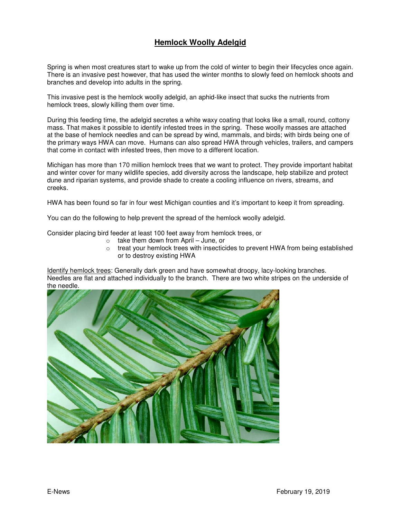### **Hemlock Woolly Adelgid**

Spring is when most creatures start to wake up from the cold of winter to begin their lifecycles once again. There is an invasive pest however, that has used the winter months to slowly feed on hemlock shoots and branches and develop into adults in the spring.

This invasive pest is the hemlock woolly adelgid, an aphid-like insect that sucks the nutrients from hemlock trees, slowly killing them over time.

During this feeding time, the adelgid secretes a white waxy coating that looks like a small, round, cottony mass. That makes it possible to identify infested trees in the spring. These woolly masses are attached at the base of hemlock needles and can be spread by wind, mammals, and birds; with birds being one of the primary ways HWA can move. Humans can also spread HWA through vehicles, trailers, and campers that come in contact with infested trees, then move to a different location.

Michigan has more than 170 million hemlock trees that we want to protect. They provide important habitat and winter cover for many wildlife species, add diversity across the landscape, help stabilize and protect dune and riparian systems, and provide shade to create a cooling influence on rivers, streams, and creeks.

HWA has been found so far in four west Michigan counties and it's important to keep it from spreading.

You can do the following to help prevent the spread of the hemlock woolly adelgid.

Consider placing bird feeder at least 100 feet away from hemlock trees, or

- $\circ$  take them down from April June, or
- $\circ$  treat your hemlock trees with insecticides to prevent HWA from being established or to destroy existing HWA

Identify hemlock trees: Generally dark green and have somewhat droopy, lacy-looking branches. Needles are flat and attached individually to the branch. There are two white stripes on the underside of the needle.